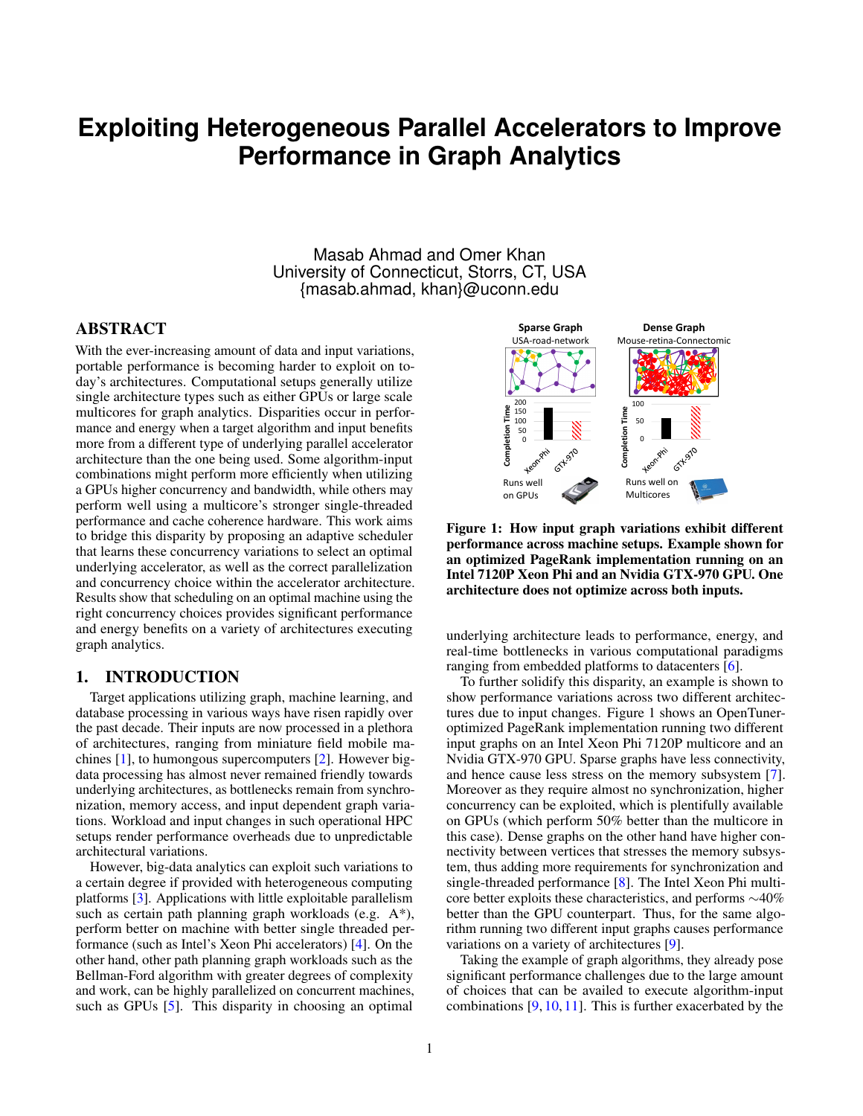# **Exploiting Heterogeneous Parallel Accelerators to Improve Performance in Graph Analytics**

Masab Ahmad and Omer Khan University of Connecticut, Storrs, CT, USA {masab.ahmad, khan}@uconn.edu

## **ABSTRACT**

With the ever-increasing amount of data and input variations, portable performance is becoming harder to exploit on today's architectures. Computational setups generally utilize single architecture types such as either GPUs or large scale multicores for graph analytics. Disparities occur in performance and energy when a target algorithm and input benefits more from a different type of underlying parallel accelerator architecture than the one being used. Some algorithm-input combinations might perform more efficiently when utilizing a GPUs higher concurrency and bandwidth, while others may perform well using a multicore's stronger single-threaded performance and cache coherence hardware. This work aims to bridge this disparity by proposing an adaptive scheduler that learns these concurrency variations to select an optimal underlying accelerator, as well as the correct parallelization and concurrency choice within the accelerator architecture. Results show that scheduling on an optimal machine using the right concurrency choices provides significant performance and energy benefits on a variety of architectures executing graph analytics.

#### 1. INTRODUCTION

Target applications utilizing graph, machine learning, and database processing in various ways have risen rapidly over the past decade. Their inputs are now processed in a plethora of architectures, ranging from miniature field mobile machines [\[1\]](#page-3-0), to humongous supercomputers [\[2\]](#page-3-1). However bigdata processing has almost never remained friendly towards underlying architectures, as bottlenecks remain from synchronization, memory access, and input dependent graph variations. Workload and input changes in such operational HPC setups render performance overheads due to unpredictable architectural variations.

However, big-data analytics can exploit such variations to a certain degree if provided with heterogeneous computing platforms [\[3\]](#page-3-2). Applications with little exploitable parallelism such as certain path planning graph workloads (e.g. A\*), perform better on machine with better single threaded performance (such as Intel's Xeon Phi accelerators) [\[4\]](#page-3-3). On the other hand, other path planning graph workloads such as the Bellman-Ford algorithm with greater degrees of complexity and work, can be highly parallelized on concurrent machines, such as GPUs [\[5\]](#page-3-4). This disparity in choosing an optimal



<span id="page-0-0"></span>Figure 1: How input graph variations exhibit different performance across machine setups. Example shown for an optimized PageRank implementation running on an Intel 7120P Xeon Phi and an Nvidia GTX-970 GPU. One architecture does not optimize across both inputs.

underlying architecture leads to performance, energy, and real-time bottlenecks in various computational paradigms ranging from embedded platforms to datacenters [\[6\]](#page-3-5).

To further solidify this disparity, an example is shown to show performance variations across two different architectures due to input changes. Figure [1](#page-0-0) shows an OpenTuneroptimized PageRank implementation running two different input graphs on an Intel Xeon Phi 7120P multicore and an Nvidia GTX-970 GPU. Sparse graphs have less connectivity, and hence cause less stress on the memory subsystem [\[7\]](#page-3-6). Moreover as they require almost no synchronization, higher concurrency can be exploited, which is plentifully available on GPUs (which perform 50% better than the multicore in this case). Dense graphs on the other hand have higher connectivity between vertices that stresses the memory subsystem, thus adding more requirements for synchronization and single-threaded performance [\[8\]](#page-3-7). The Intel Xeon Phi multicore better exploits these characteristics, and performs ∼40% better than the GPU counterpart. Thus, for the same algorithm running two different input graphs causes performance variations on a variety of architectures [\[9\]](#page-3-8).

Taking the example of graph algorithms, they already pose significant performance challenges due to the large amount of choices that can be availed to execute algorithm-input combinations [\[9,](#page-3-8) [10,](#page-3-9) [11\]](#page-3-10). This is further exacerbated by the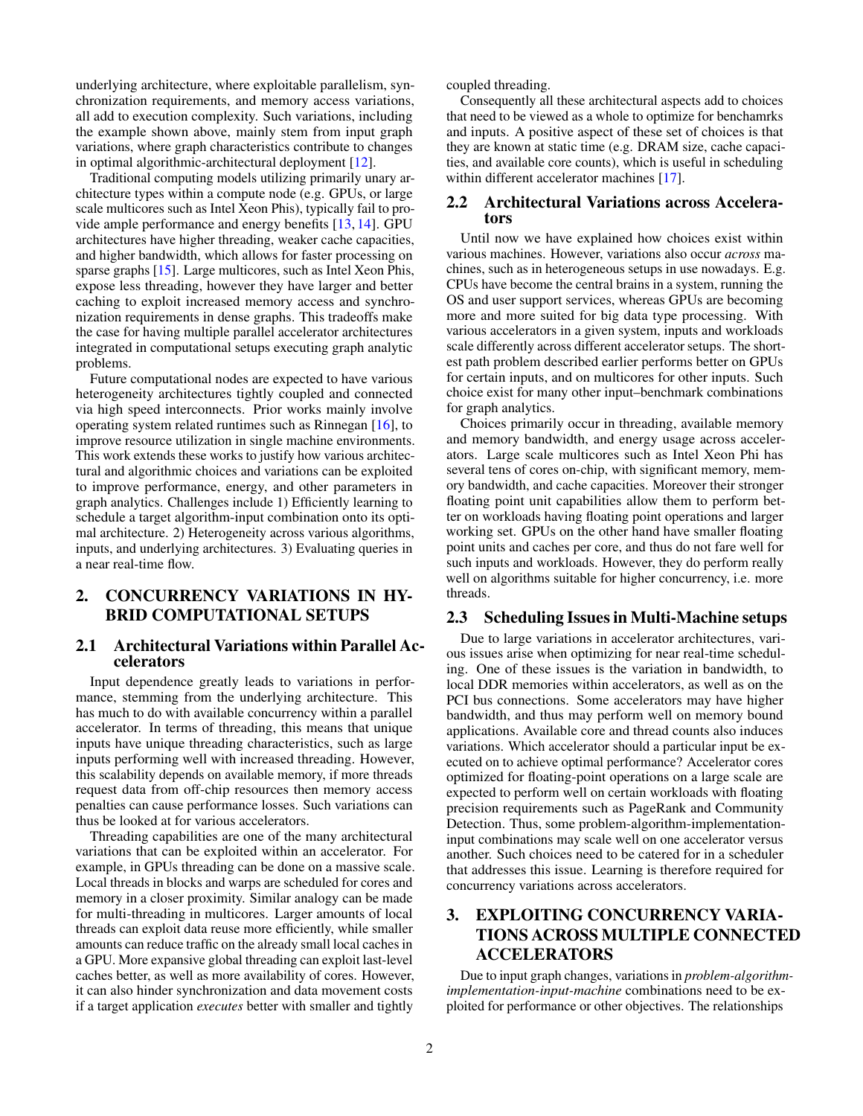underlying architecture, where exploitable parallelism, synchronization requirements, and memory access variations, all add to execution complexity. Such variations, including the example shown above, mainly stem from input graph variations, where graph characteristics contribute to changes in optimal algorithmic-architectural deployment [\[12\]](#page-3-11).

Traditional computing models utilizing primarily unary architecture types within a compute node (e.g. GPUs, or large scale multicores such as Intel Xeon Phis), typically fail to provide ample performance and energy benefits [\[13,](#page-3-12) [14\]](#page-3-13). GPU architectures have higher threading, weaker cache capacities, and higher bandwidth, which allows for faster processing on sparse graphs [\[15\]](#page-3-14). Large multicores, such as Intel Xeon Phis, expose less threading, however they have larger and better caching to exploit increased memory access and synchronization requirements in dense graphs. This tradeoffs make the case for having multiple parallel accelerator architectures integrated in computational setups executing graph analytic problems.

Future computational nodes are expected to have various heterogeneity architectures tightly coupled and connected via high speed interconnects. Prior works mainly involve operating system related runtimes such as Rinnegan [\[16\]](#page-3-15), to improve resource utilization in single machine environments. This work extends these works to justify how various architectural and algorithmic choices and variations can be exploited to improve performance, energy, and other parameters in graph analytics. Challenges include 1) Efficiently learning to schedule a target algorithm-input combination onto its optimal architecture. 2) Heterogeneity across various algorithms, inputs, and underlying architectures. 3) Evaluating queries in a near real-time flow.

# 2. CONCURRENCY VARIATIONS IN HY-BRID COMPUTATIONAL SETUPS

#### 2.1 Architectural Variations within Parallel Accelerators

Input dependence greatly leads to variations in performance, stemming from the underlying architecture. This has much to do with available concurrency within a parallel accelerator. In terms of threading, this means that unique inputs have unique threading characteristics, such as large inputs performing well with increased threading. However, this scalability depends on available memory, if more threads request data from off-chip resources then memory access penalties can cause performance losses. Such variations can thus be looked at for various accelerators.

Threading capabilities are one of the many architectural variations that can be exploited within an accelerator. For example, in GPUs threading can be done on a massive scale. Local threads in blocks and warps are scheduled for cores and memory in a closer proximity. Similar analogy can be made for multi-threading in multicores. Larger amounts of local threads can exploit data reuse more efficiently, while smaller amounts can reduce traffic on the already small local caches in a GPU. More expansive global threading can exploit last-level caches better, as well as more availability of cores. However, it can also hinder synchronization and data movement costs if a target application *executes* better with smaller and tightly

coupled threading.

Consequently all these architectural aspects add to choices that need to be viewed as a whole to optimize for benchamrks and inputs. A positive aspect of these set of choices is that they are known at static time (e.g. DRAM size, cache capacities, and available core counts), which is useful in scheduling within different accelerator machines [\[17\]](#page-3-16).

#### 2.2 Architectural Variations across Accelerators

Until now we have explained how choices exist within various machines. However, variations also occur *across* machines, such as in heterogeneous setups in use nowadays. E.g. CPUs have become the central brains in a system, running the OS and user support services, whereas GPUs are becoming more and more suited for big data type processing. With various accelerators in a given system, inputs and workloads scale differently across different accelerator setups. The shortest path problem described earlier performs better on GPUs for certain inputs, and on multicores for other inputs. Such choice exist for many other input–benchmark combinations for graph analytics.

Choices primarily occur in threading, available memory and memory bandwidth, and energy usage across accelerators. Large scale multicores such as Intel Xeon Phi has several tens of cores on-chip, with significant memory, memory bandwidth, and cache capacities. Moreover their stronger floating point unit capabilities allow them to perform better on workloads having floating point operations and larger working set. GPUs on the other hand have smaller floating point units and caches per core, and thus do not fare well for such inputs and workloads. However, they do perform really well on algorithms suitable for higher concurrency, i.e. more threads.

#### 2.3 Scheduling Issues in Multi-Machine setups

Due to large variations in accelerator architectures, various issues arise when optimizing for near real-time scheduling. One of these issues is the variation in bandwidth, to local DDR memories within accelerators, as well as on the PCI bus connections. Some accelerators may have higher bandwidth, and thus may perform well on memory bound applications. Available core and thread counts also induces variations. Which accelerator should a particular input be executed on to achieve optimal performance? Accelerator cores optimized for floating-point operations on a large scale are expected to perform well on certain workloads with floating precision requirements such as PageRank and Community Detection. Thus, some problem-algorithm-implementationinput combinations may scale well on one accelerator versus another. Such choices need to be catered for in a scheduler that addresses this issue. Learning is therefore required for concurrency variations across accelerators.

# 3. EXPLOITING CONCURRENCY VARIA-TIONS ACROSS MULTIPLE CONNECTED ACCELERATORS

Due to input graph changes, variations in *problem-algorithmimplementation-input-machine* combinations need to be exploited for performance or other objectives. The relationships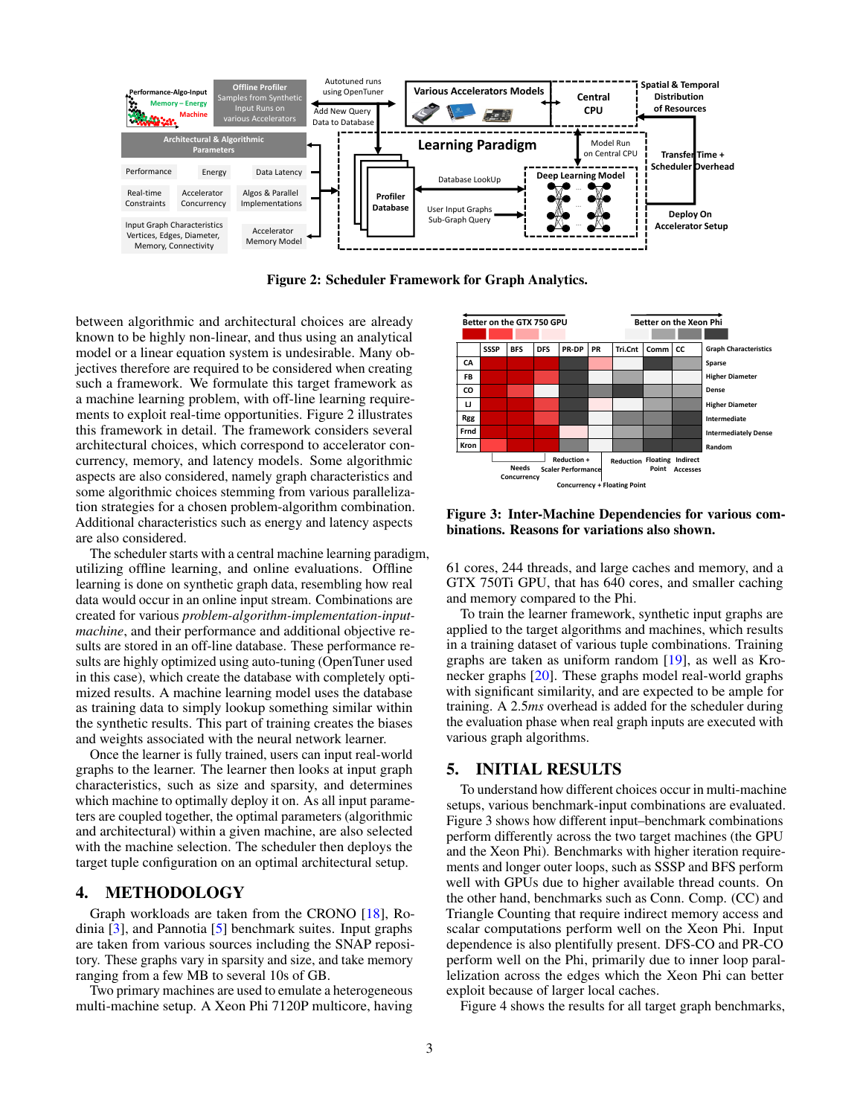

<span id="page-2-0"></span>Figure 2: Scheduler Framework for Graph Analytics.

between algorithmic and architectural choices are already known to be highly non-linear, and thus using an analytical model or a linear equation system is undesirable. Many objectives therefore are required to be considered when creating such a framework. We formulate this target framework as a machine learning problem, with off-line learning requirements to exploit real-time opportunities. Figure [2](#page-2-0) illustrates this framework in detail. The framework considers several architectural choices, which correspond to accelerator concurrency, memory, and latency models. Some algorithmic aspects are also considered, namely graph characteristics and some algorithmic choices stemming from various parallelization strategies for a chosen problem-algorithm combination. Additional characteristics such as energy and latency aspects are also considered.

The scheduler starts with a central machine learning paradigm, utilizing offline learning, and online evaluations. Offline learning is done on synthetic graph data, resembling how real data would occur in an online input stream. Combinations are created for various *problem-algorithm-implementation-inputmachine*, and their performance and additional objective results are stored in an off-line database. These performance results are highly optimized using auto-tuning (OpenTuner used in this case), which create the database with completely optimized results. A machine learning model uses the database as training data to simply lookup something similar within the synthetic results. This part of training creates the biases and weights associated with the neural network learner.

Once the learner is fully trained, users can input real-world graphs to the learner. The learner then looks at input graph characteristics, such as size and sparsity, and determines which machine to optimally deploy it on. As all input parameters are coupled together, the optimal parameters (algorithmic and architectural) within a given machine, are also selected with the machine selection. The scheduler then deploys the target tuple configuration on an optimal architectural setup.

#### 4. METHODOLOGY

Graph workloads are taken from the CRONO [\[18\]](#page-3-17), Rodinia [\[3\]](#page-3-2), and Pannotia [\[5\]](#page-3-4) benchmark suites. Input graphs are taken from various sources including the SNAP repository. These graphs vary in sparsity and size, and take memory ranging from a few MB to several 10s of GB.

Two primary machines are used to emulate a heterogeneous multi-machine setup. A Xeon Phi 7120P multicore, having



<span id="page-2-1"></span>Figure 3: Inter-Machine Dependencies for various combinations. Reasons for variations also shown.

61 cores, 244 threads, and large caches and memory, and a GTX 750Ti GPU, that has 640 cores, and smaller caching and memory compared to the Phi.

To train the learner framework, synthetic input graphs are applied to the target algorithms and machines, which results in a training dataset of various tuple combinations. Training graphs are taken as uniform random [\[19\]](#page-3-18), as well as Kronecker graphs [\[20\]](#page-3-19). These graphs model real-world graphs with significant similarity, and are expected to be ample for training. A 2.5*ms* overhead is added for the scheduler during the evaluation phase when real graph inputs are executed with various graph algorithms.

## 5. INITIAL RESULTS

To understand how different choices occur in multi-machine setups, various benchmark-input combinations are evaluated. Figure [3](#page-2-1) shows how different input–benchmark combinations perform differently across the two target machines (the GPU and the Xeon Phi). Benchmarks with higher iteration requirements and longer outer loops, such as SSSP and BFS perform well with GPUs due to higher available thread counts. On the other hand, benchmarks such as Conn. Comp. (CC) and Triangle Counting that require indirect memory access and scalar computations perform well on the Xeon Phi. Input dependence is also plentifully present. DFS-CO and PR-CO perform well on the Phi, primarily due to inner loop parallelization across the edges which the Xeon Phi can better exploit because of larger local caches.

Figure [4](#page-3-20) shows the results for all target graph benchmarks,